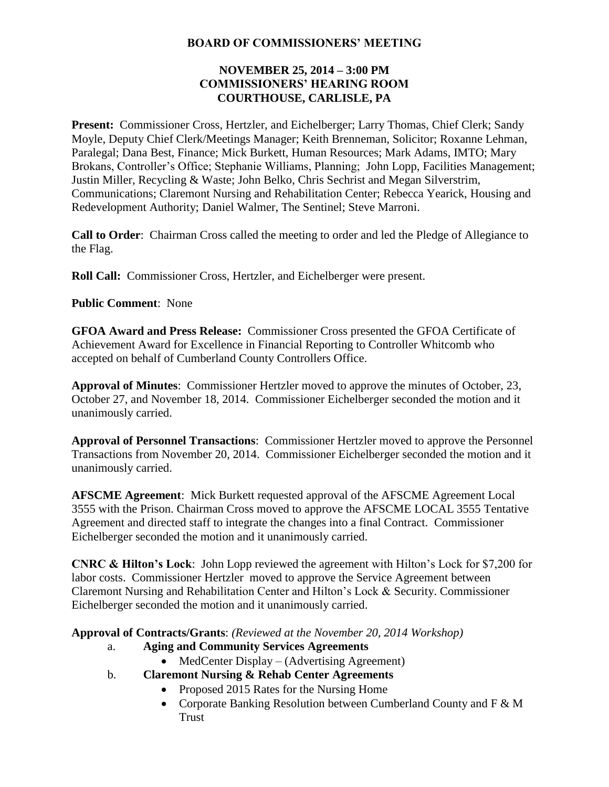#### **BOARD OF COMMISSIONERS' MEETING**

#### **NOVEMBER 25, 2014 – 3:00 PM COMMISSIONERS' HEARING ROOM COURTHOUSE, CARLISLE, PA**

**Present:** Commissioner Cross, Hertzler, and Eichelberger; Larry Thomas, Chief Clerk; Sandy Moyle, Deputy Chief Clerk/Meetings Manager; Keith Brenneman, Solicitor; Roxanne Lehman, Paralegal; Dana Best, Finance; Mick Burkett, Human Resources; Mark Adams, IMTO; Mary Brokans, Controller's Office; Stephanie Williams, Planning; John Lopp, Facilities Management; Justin Miller, Recycling & Waste; John Belko, Chris Sechrist and Megan Silverstrim, Communications; Claremont Nursing and Rehabilitation Center; Rebecca Yearick, Housing and Redevelopment Authority; Daniel Walmer, The Sentinel; Steve Marroni.

**Call to Order**: Chairman Cross called the meeting to order and led the Pledge of Allegiance to the Flag.

**Roll Call:** Commissioner Cross, Hertzler, and Eichelberger were present.

**Public Comment**: None

**GFOA Award and Press Release:** Commissioner Cross presented the GFOA Certificate of Achievement Award for Excellence in Financial Reporting to Controller Whitcomb who accepted on behalf of Cumberland County Controllers Office.

**Approval of Minutes**: Commissioner Hertzler moved to approve the minutes of October, 23, October 27, and November 18, 2014. Commissioner Eichelberger seconded the motion and it unanimously carried.

**Approval of Personnel Transactions**: Commissioner Hertzler moved to approve the Personnel Transactions from November 20, 2014. Commissioner Eichelberger seconded the motion and it unanimously carried.

**AFSCME Agreement**: Mick Burkett requested approval of the AFSCME Agreement Local 3555 with the Prison. Chairman Cross moved to approve the AFSCME LOCAL 3555 Tentative Agreement and directed staff to integrate the changes into a final Contract. Commissioner Eichelberger seconded the motion and it unanimously carried.

**CNRC & Hilton's Lock**: John Lopp reviewed the agreement with Hilton's Lock for \$7,200 for labor costs. Commissioner Hertzler moved to approve the Service Agreement between Claremont Nursing and Rehabilitation Center and Hilton's Lock & Security. Commissioner Eichelberger seconded the motion and it unanimously carried.

**Approval of Contracts/Grants**: *(Reviewed at the November 20, 2014 Workshop)*

- a. **Aging and Community Services Agreements** 
	- MedCenter Display (Advertising Agreement)
- b. **Claremont Nursing & Rehab Center Agreements**
	- Proposed 2015 Rates for the Nursing Home
	- Corporate Banking Resolution between Cumberland County and F & M Trust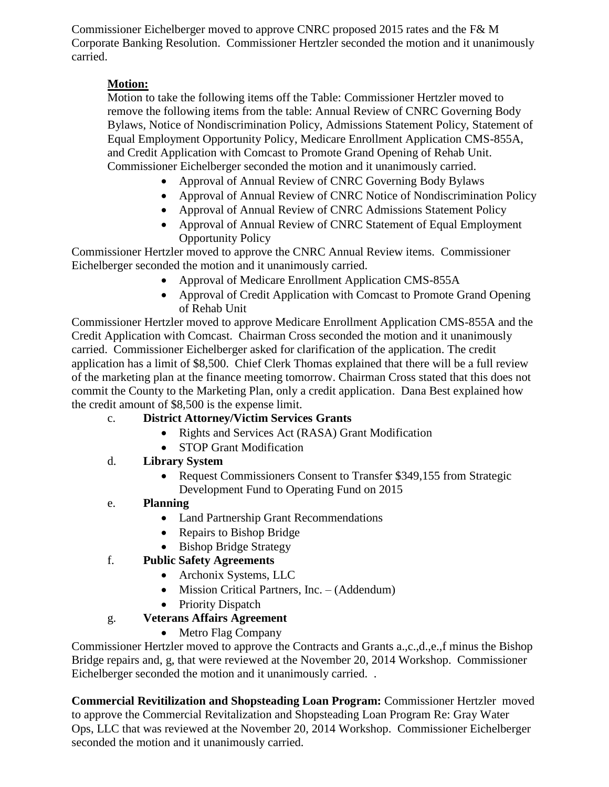Commissioner Eichelberger moved to approve CNRC proposed 2015 rates and the F& M Corporate Banking Resolution. Commissioner Hertzler seconded the motion and it unanimously carried.

#### **Motion:**

Motion to take the following items off the Table: Commissioner Hertzler moved to remove the following items from the table: Annual Review of CNRC Governing Body Bylaws, Notice of Nondiscrimination Policy, Admissions Statement Policy, Statement of Equal Employment Opportunity Policy, Medicare Enrollment Application CMS-855A, and Credit Application with Comcast to Promote Grand Opening of Rehab Unit. Commissioner Eichelberger seconded the motion and it unanimously carried.

- Approval of Annual Review of CNRC Governing Body Bylaws
- Approval of Annual Review of CNRC Notice of Nondiscrimination Policy
- Approval of Annual Review of CNRC Admissions Statement Policy
- Approval of Annual Review of CNRC Statement of Equal Employment Opportunity Policy

Commissioner Hertzler moved to approve the CNRC Annual Review items. Commissioner Eichelberger seconded the motion and it unanimously carried.

- Approval of Medicare Enrollment Application CMS-855A
- Approval of Credit Application with Comcast to Promote Grand Opening of Rehab Unit

Commissioner Hertzler moved to approve Medicare Enrollment Application CMS-855A and the Credit Application with Comcast. Chairman Cross seconded the motion and it unanimously carried. Commissioner Eichelberger asked for clarification of the application. The credit application has a limit of \$8,500. Chief Clerk Thomas explained that there will be a full review of the marketing plan at the finance meeting tomorrow. Chairman Cross stated that this does not commit the County to the Marketing Plan, only a credit application. Dana Best explained how the credit amount of \$8,500 is the expense limit.

# c. **District Attorney/Victim Services Grants**

- Rights and Services Act (RASA) Grant Modification
- STOP Grant Modification

# d. **Library System**

• Request Commissioners Consent to Transfer \$349,155 from Strategic Development Fund to Operating Fund on 2015

# e. **Planning**

- Land Partnership Grant Recommendations
- Repairs to Bishop Bridge
- Bishop Bridge Strategy

# f. **Public Safety Agreements**

- Archonix Systems, LLC
- Mission Critical Partners, Inc. (Addendum)
- Priority Dispatch

# g. **Veterans Affairs Agreement**

• Metro Flag Company

Commissioner Hertzler moved to approve the Contracts and Grants a.,c.,d.,e.,f minus the Bishop Bridge repairs and, g, that were reviewed at the November 20, 2014 Workshop. Commissioner Eichelberger seconded the motion and it unanimously carried. .

**Commercial Revitilization and Shopsteading Loan Program:** Commissioner Hertzler moved to approve the Commercial Revitalization and Shopsteading Loan Program Re: Gray Water Ops, LLC that was reviewed at the November 20, 2014 Workshop. Commissioner Eichelberger seconded the motion and it unanimously carried.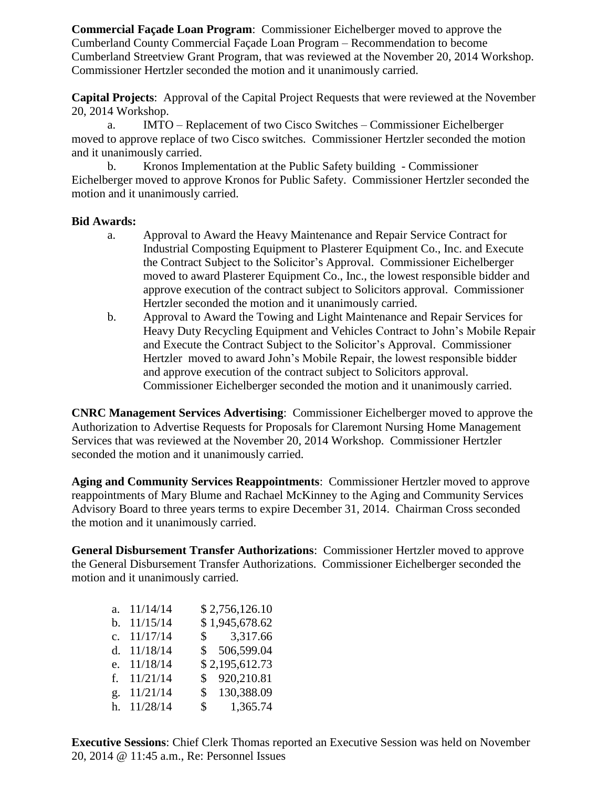**Commercial Façade Loan Program**: Commissioner Eichelberger moved to approve the Cumberland County Commercial Façade Loan Program – Recommendation to become Cumberland Streetview Grant Program, that was reviewed at the November 20, 2014 Workshop. Commissioner Hertzler seconded the motion and it unanimously carried.

**Capital Projects**: Approval of the Capital Project Requests that were reviewed at the November 20, 2014 Workshop.

a. IMTO – Replacement of two Cisco Switches – Commissioner Eichelberger moved to approve replace of two Cisco switches. Commissioner Hertzler seconded the motion and it unanimously carried.

b. Kronos Implementation at the Public Safety building - Commissioner Eichelberger moved to approve Kronos for Public Safety. Commissioner Hertzler seconded the motion and it unanimously carried.

#### **Bid Awards:**

- a. Approval to Award the Heavy Maintenance and Repair Service Contract for Industrial Composting Equipment to Plasterer Equipment Co., Inc. and Execute the Contract Subject to the Solicitor's Approval. Commissioner Eichelberger moved to award Plasterer Equipment Co., Inc., the lowest responsible bidder and approve execution of the contract subject to Solicitors approval. Commissioner Hertzler seconded the motion and it unanimously carried.
- b. Approval to Award the Towing and Light Maintenance and Repair Services for Heavy Duty Recycling Equipment and Vehicles Contract to John's Mobile Repair and Execute the Contract Subject to the Solicitor's Approval. Commissioner Hertzler moved to award John's Mobile Repair, the lowest responsible bidder and approve execution of the contract subject to Solicitors approval. Commissioner Eichelberger seconded the motion and it unanimously carried.

**CNRC Management Services Advertising**: Commissioner Eichelberger moved to approve the Authorization to Advertise Requests for Proposals for Claremont Nursing Home Management Services that was reviewed at the November 20, 2014 Workshop. Commissioner Hertzler seconded the motion and it unanimously carried.

**Aging and Community Services Reappointments**: Commissioner Hertzler moved to approve reappointments of Mary Blume and Rachael McKinney to the Aging and Community Services Advisory Board to three years terms to expire December 31, 2014. Chairman Cross seconded the motion and it unanimously carried.

**General Disbursement Transfer Authorizations**: Commissioner Hertzler moved to approve the General Disbursement Transfer Authorizations. Commissioner Eichelberger seconded the motion and it unanimously carried.

|             | a. $11/14/14$ | \$2,756,126.10           |
|-------------|---------------|--------------------------|
| h.          | 11/15/14      | \$1,945,678.62           |
| $c_{\cdot}$ | 11/17/14      | \$3,317.66               |
|             | d. $11/18/14$ | \$ 506,599.04            |
|             | e. 11/18/14   | \$2,195,612.73           |
| $f_{\cdot}$ | 11/21/14      | \$920,210.81             |
|             | g. 11/21/14   | \$130,388.09             |
|             | h. 11/28/14   | 1,365.74<br>$\mathbb{S}$ |

**Executive Sessions**: Chief Clerk Thomas reported an Executive Session was held on November 20, 2014 @ 11:45 a.m., Re: Personnel Issues